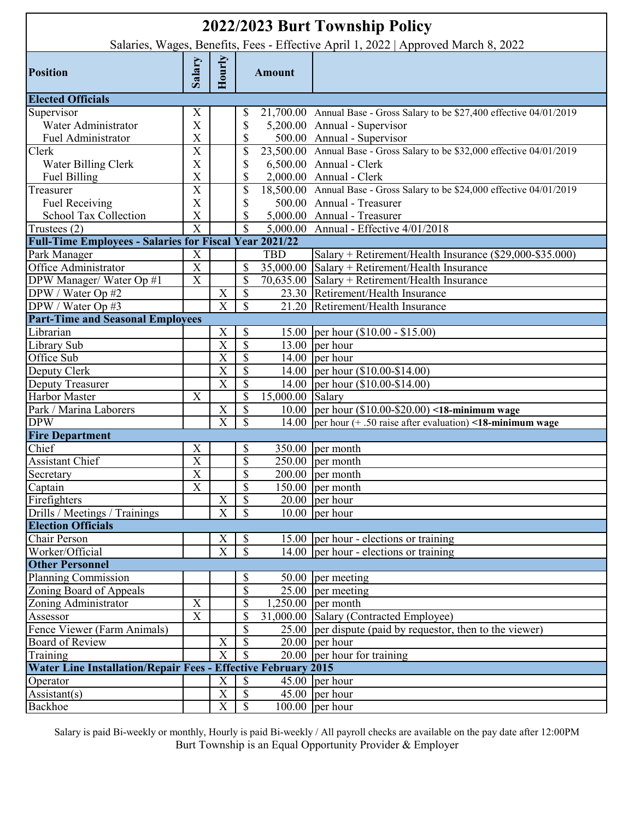| 2022/2023 Burt Township Policy<br>Salaries, Wages, Benefits, Fees - Effective April 1, 2022   Approved March 8, 2022 |                           |                         |                           |                  |                                                                          |  |  |
|----------------------------------------------------------------------------------------------------------------------|---------------------------|-------------------------|---------------------------|------------------|--------------------------------------------------------------------------|--|--|
|                                                                                                                      |                           |                         |                           |                  |                                                                          |  |  |
| <b>Position</b>                                                                                                      | Salary                    | Hourly                  |                           | <b>Amount</b>    |                                                                          |  |  |
| <b>Elected Officials</b>                                                                                             |                           |                         |                           |                  |                                                                          |  |  |
| Supervisor                                                                                                           | X                         |                         | \$                        |                  | 21,700.00 Annual Base - Gross Salary to be \$27,400 effective 04/01/2019 |  |  |
| Water Administrator                                                                                                  | X                         |                         | \$                        |                  | 5,200.00 Annual - Supervisor                                             |  |  |
| Fuel Administrator                                                                                                   | X                         |                         | \$                        |                  | 500.00 Annual - Supervisor                                               |  |  |
| Clerk                                                                                                                | $\boldsymbol{\mathrm{X}}$ |                         | \$                        |                  | 23,500.00 Annual Base - Gross Salary to be \$32,000 effective 04/01/2019 |  |  |
| Water Billing Clerk                                                                                                  | X                         |                         | \$                        |                  | 6,500.00 Annual - Clerk                                                  |  |  |
| Fuel Billing                                                                                                         | X                         |                         | \$                        |                  | 2,000.00 Annual - Clerk                                                  |  |  |
| Treasurer                                                                                                            | $\overline{\text{X}}$     |                         | \$                        |                  | 18,500.00 Annual Base - Gross Salary to be \$24,000 effective 04/01/2019 |  |  |
| <b>Fuel Receiving</b>                                                                                                | X                         |                         | \$                        |                  | 500.00 Annual - Treasurer                                                |  |  |
| School Tax Collection                                                                                                | $\boldsymbol{\mathrm{X}}$ |                         | \$                        |                  | 5,000.00 Annual - Treasurer                                              |  |  |
| Trustees (2)                                                                                                         | $\overline{\mathrm{X}}$   |                         | $\overline{\mathbb{S}}$   |                  | 5,000.00 Annual - Effective 4/01/2018                                    |  |  |
| <b>Full-Time Employees - Salaries for Fiscal Year 2021/22</b>                                                        |                           |                         |                           |                  |                                                                          |  |  |
| Park Manager                                                                                                         | X                         |                         |                           | <b>TBD</b>       | Salary + Retirement/Health Insurance (\$29,000-\$35.000)                 |  |  |
| Office Administrator                                                                                                 | $\overline{\text{X}}$     |                         | \$                        |                  | $35,000.00$ Salary + Retirement/Health Insurance                         |  |  |
| DPW Manager/Water Op #1                                                                                              | $\mathbf X$               |                         | \$                        |                  | 70,635.00 Salary + Retirement/Health Insurance                           |  |  |
| DPW / Water Op #2                                                                                                    |                           | X                       | \$                        |                  | 23.30 Retirement/Health Insurance                                        |  |  |
| DPW / Water Op #3                                                                                                    |                           | $\overline{\text{X}}$   | \$                        |                  | 21.20 Retirement/Health Insurance                                        |  |  |
| <b>Part-Time and Seasonal Employees</b>                                                                              |                           |                         |                           |                  |                                                                          |  |  |
| Librarian                                                                                                            |                           | X                       | \$                        |                  | 15.00 per hour (\$10.00 - \$15.00)                                       |  |  |
| Library Sub                                                                                                          |                           | $\overline{\text{X}}$   | $\overline{\mathcal{S}}$  |                  | $\overline{13.00}$ per hour                                              |  |  |
| Office Sub                                                                                                           |                           | $\overline{\text{X}}$   | \$                        |                  | 14.00 per hour                                                           |  |  |
| Deputy Clerk                                                                                                         |                           | $\overline{\text{X}}$   | \$                        |                  | 14.00 per hour (\$10.00-\$14.00)                                         |  |  |
| <b>Deputy Treasurer</b>                                                                                              |                           | X                       | \$                        |                  | 14.00 per hour (\$10.00-\$14.00)                                         |  |  |
| Harbor Master                                                                                                        | X                         |                         | \$                        | 15,000.00 Salary |                                                                          |  |  |
| Park / Marina Laborers                                                                                               |                           | X                       | \$                        |                  | 10.00  per hour $(\$10.00-\$20.00)$ <18-minimum wage                     |  |  |
| <b>DPW</b>                                                                                                           |                           | X                       | \$                        |                  | 14.00 per hour $(+.50)$ raise after evaluation) <18-minimum wage         |  |  |
| <b>Fire Department</b>                                                                                               |                           |                         |                           |                  |                                                                          |  |  |
| Chief                                                                                                                | X                         |                         | \$                        |                  | $350.00$ per month                                                       |  |  |
| Assistant Chief                                                                                                      | $\mathbf X$               |                         | \$                        |                  | $250.00$ per month                                                       |  |  |
| Secretary                                                                                                            | $\overline{X}$            |                         | \$                        |                  | $200.00$ per month                                                       |  |  |
| Captain                                                                                                              | $\overline{\text{X}}$     |                         | \$                        |                  | $150.00$ per month                                                       |  |  |
| Firefighters                                                                                                         |                           | $\mathbf X$             | $\boldsymbol{\mathsf{S}}$ |                  | $20.00$ per hour                                                         |  |  |
| Drills / Meetings / Trainings                                                                                        |                           | $\overline{\text{X}}$   | \$                        |                  | $10.00$ per hour                                                         |  |  |
| <b>Election Officials</b>                                                                                            |                           |                         |                           |                  |                                                                          |  |  |
| Chair Person                                                                                                         |                           | Χ                       | \$                        |                  | $\overline{15.00}$  per hour - elections or training                     |  |  |
| Worker/Official                                                                                                      |                           | $\overline{\mathrm{X}}$ | $\boldsymbol{\mathsf{S}}$ |                  | 14.00 $\vert$ per hour - elections or training                           |  |  |
| <b>Other Personnel</b>                                                                                               |                           |                         |                           |                  |                                                                          |  |  |
| Planning Commission                                                                                                  |                           |                         | \$                        |                  | 50.00 per meeting                                                        |  |  |
| Zoning Board of Appeals                                                                                              |                           |                         | \$                        |                  | $25.00$ per meeting                                                      |  |  |
| Zoning Administrator                                                                                                 | $\mathbf X$               |                         | \$                        |                  | $1,250.00$ per month                                                     |  |  |
| Assessor                                                                                                             | $\boldsymbol{\mathrm{X}}$ |                         | \$                        |                  | 31,000.00 Salary (Contracted Employee)                                   |  |  |
| Fence Viewer (Farm Animals)                                                                                          |                           |                         | \$                        |                  | $25.00$ per dispute (paid by requestor, then to the viewer)              |  |  |
| <b>Board of Review</b>                                                                                               |                           | X                       | \$                        |                  | $20.00$ per hour                                                         |  |  |
| Training                                                                                                             |                           | $\overline{X}$          | \$                        |                  | $20.00$ per hour for training                                            |  |  |
| <b>Water Line Installation/Repair Fees - Effective February 2015</b>                                                 |                           |                         |                           |                  |                                                                          |  |  |
| Operator                                                                                                             |                           | X                       | $\mathcal{S}$             |                  | $45.00$ per hour                                                         |  |  |
| $\text{Assistant}(s)$                                                                                                |                           | $\overline{\text{X}}$   | $\overline{\mathcal{S}}$  |                  | $\overline{45.00}$ per hour                                              |  |  |
| Backhoe                                                                                                              |                           | $\overline{\text{X}}$   | $\overline{\mathcal{S}}$  |                  | $100.00$ per hour                                                        |  |  |

Salary is paid Bi-weekly or monthly, Hourly is paid Bi-weekly / All payroll checks are available on the pay date after 12:00PM Burt Township is an Equal Opportunity Provider & Employer